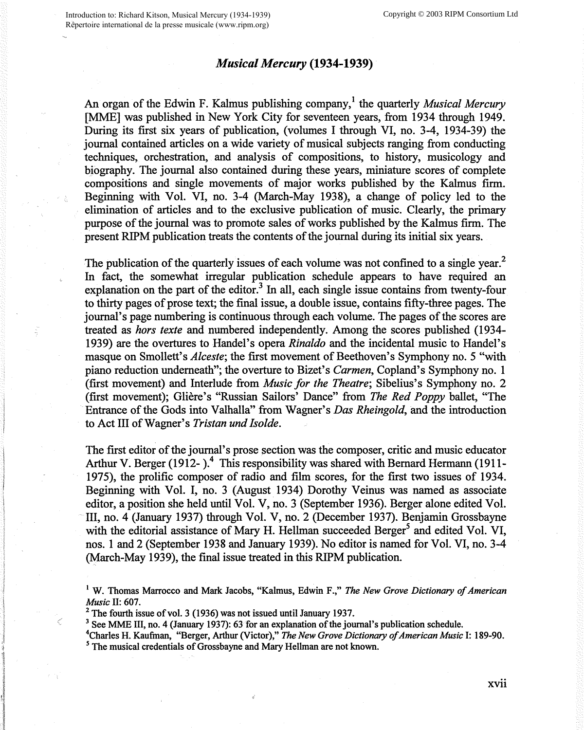## *Musical Mercury* **(1934-1939)**

An organ of the Edwin F. Kalmus publishing company,<sup>1</sup> the quarterly *Musical Mercury* [MME] was published in New York City for seventeen years, from 1934 through 1949. During its first six years of publication, (volumes I through VI, no. 3-4, 1934-39) the journal contained articles on a wide variety of musical subjects ranging from conducting techniques, orchestration, and analysis of compositions, to history, musicology and biography. The journal also contained during these years, miniature scores of complete compositions and single movements of major works published by the Kalmus firm. Beginning with Vol. VI, no. 3-4 (March-May 1938), a change of policy led to the elimination of articles and to the exclusive publication of music. Clearly, the primary purpose of the journal was to promote sales of works published by the Kalmus firm. The present RIPM publication treats the contents of the journal during its initial six years.

The publication of the quarterly issues of each volume was not confined to a single year.<sup>2</sup> In fact, the somewhat irregular publication schedule appears to have required an explanation on the part of the editor. $3$  In all, each single issue contains from twenty-four to thirty pages of prose text; the final issue, a double issue, contains fifty-three pages. The journal's page numbering is continuous through each volume. The pages of the scores are treated as *hors texte* and numbered independently. Among the scores published (1934- 1939) are the overtures to Handel's opera *Rinaldo* and the incidental music to Handel's masque on Smollett's *Alceste;* the first movement of Beethoven's Symphony no. 5 "with piano reduction underneath"; the overture to Bizet's *Carmen,* Copland's Symphony no. 1 (first movement) and Interlude from *Music for the Theatre;* Sibelius's Symphony no. 2 (first movement); Gliere's "Russian Sailors' Dance" from *The Red Poppy* ballet, "The Entrance of the Gods into Valhalla" from Wagner's *Das Rheingold,* and the introduction to Act III of Wagner's *Tristan und Isolde.* 

The first editor of the journal's prose section was the composer, critic and music educator Arthur V. Berger (1912-).<sup>4</sup> This responsibility was shared with Bernard Hermann (1911-1975), the prolific composer of radio and film scores, for the first two issues of 1934. Beginning with Vol. I, no. 3 (August 1934) Dorothy Veinus was named as associate editor, a position she held until Vol. V, no. 3 (September 1936). Berger alone edited Vol. III, no. 4 (January 1937) through Vol. V, no. 2 (December 1937). Benjamin Grossbayne with the editorial assistance of Mary H. Hellman succeeded Berger<sup>5</sup> and edited Vol. VI, nos. 1 and 2 (September 1938 and January 1939). No editor is named for Vol. VI, no. 3-4 (March-May 1939), the final issue treated in this RIPM publication.

<sup>1</sup> W. Thomas Marrocco and Mark Jacobs, "Kalmus, Edwin F.," *The New Grove Dictionary of American Music II: 607.*<br><sup>2</sup> The fourth issue of vol. 3 (1936) was not issued until January 1937.<br><sup>3</sup> See MME III, no. 4 (January 1937): 63 for an explanation of the journal's publication schedule.

<sup>&</sup>lt;sup>4</sup>Charles H. Kaufman, "Berger, Arthur (Victor)," *The New Grove Dictionary of American Music* I: 189-90.<br><sup>5</sup> The musical credentials of Grossbayne and Mary Hellman are not known.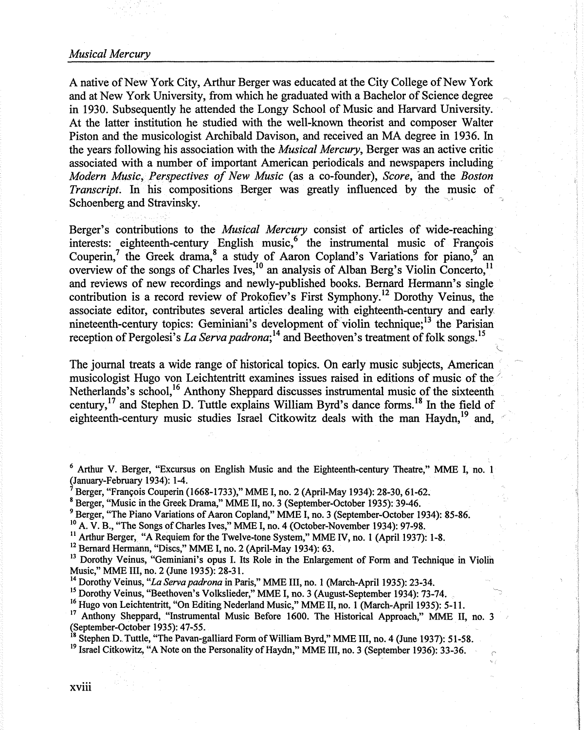## *Musical Mercury*

A native of New York City, Arthur Berger was educated at the City College of New York and at New York University, from which he graduated with a Bachelor of Science degree in 1930. Subsequently he attended the Longy School of Music and Harvard University. At the latter institution he studied with the well-known theorist and composer Walter Piston and the musicologist Archibald Davison, and received an MA degree in 1936. In the years following his association with the *Musical Mercury,* Berger was an active critic associated with a number of important American periodicals and newspapers including *Modern Music, Perspectives of New Music* (as a co-founder), *Score,* and the *Boston Transcript.* In his compositions Berger was greatly influenced by the music of Schoenberg and Stravinsky.

Berger's contributions to the *Musical Mercury* consist of articles of wide-reaching· interests: eighteenth-century English music,<sup>6</sup> the instrumental music of François Couperin,<sup>7</sup> the Greek drama,<sup>8</sup> a study of Aaron Copland's Variations for piano,<sup>9</sup> an overview of the songs of Charles Ives,<sup>10</sup> an analysis of Alban Berg's Violin Concerto,<sup>11</sup> and reviews of new recordings and newly-published books. Bernard Hermann's single contribution is a record review of Prokofiev's First Symphony.12 Dorothy Veinus, the associate editor, contributes several articles dealing with eighteenth-century and early nineteenth-century topics: Geminiani's development of violin technique;<sup>13</sup> the Parisian reception of Pergolesi's *La Serva padrona*;<sup>14</sup> and Beethoven's treatment of folk songs.<sup>15</sup>

The journal treats a wide range of historical topics. On early music subjects, American musicologist Hugo von Leichtentritt examines issues raised in editions of music of the/. Netherlands's school,<sup>16</sup> Anthony Sheppard discusses instrumental music of the sixteenth century,  $17$  and Stephen D. Tuttle explains William Byrd's dance forms. <sup>18</sup> In the field of eighteenth-century music studies Israel Citkowitz deals with the man Haydn,<sup>19</sup> and,

<sup>6</sup> Arthur V. Berger, "Excursus on English Music and the Eighteenth-century Theatre," MME I, no. 1 (January-February 1934): 1-4.

- <sup>7</sup>Berger, "Franyois Couperin (1668-1733)," MME I, no. 2 (April-May 1934): 28-30, 61-62.
- <sup>8</sup> Berger, "Music in the Greek Drama," MME II, no. 3 (September-October 1935): 39-46.

<sup>11</sup> Arthur Berger, "A Requiem for the Twelve-tone System," MME IV, no. 1 (April 1937): 1-8.<br><sup>12</sup> Bernard Hermann, "Discs," MME I, no. 2 (April-May 1934): 63.<br><sup>13</sup> Dorothy Veinus, "Geminiani's opus I. Its Role in the Enlar

<sup>14</sup> Dorothy Veinus, *"La Serva padrona* in Paris," MME III, no. 1 (March-April 1935): 23-34.

<sup>15</sup> Dorothy Veinus, "Beethoven's Volkslieder," MME I, no. 3 (August-September 1934): 73-74.<br><sup>16</sup> Hugo von Leichtentritt, "On Editing Nederland Music," MME II, no. 1 (March-April 1935): 5-11.

<sup>17</sup> Anthony Sheppard, "Instrumental Music Before 1600. The Historical Approach," MME II, no. 3 (September-October 1935): 47-55.

<sup>18</sup> Stephen D. Tuttle, "The Pavan-galliard Form of William Byrd," MME III, no. 4 (June 1937): 51-58.<br><sup>19</sup> Israel Citkowitz, "A Note on the Personality of Haydn," MME III, no. 3 (September 1936): 33-36.

<sup>&</sup>lt;sup>9</sup> Berger, "The Piano Variations of Aaron Copland," MME I, no. 3 (September-October 1934): 85-86. <sup>10</sup> A. V. B., "The Songs of Charles Ives," MME I, no. 4 (October-November 1934): 97-98.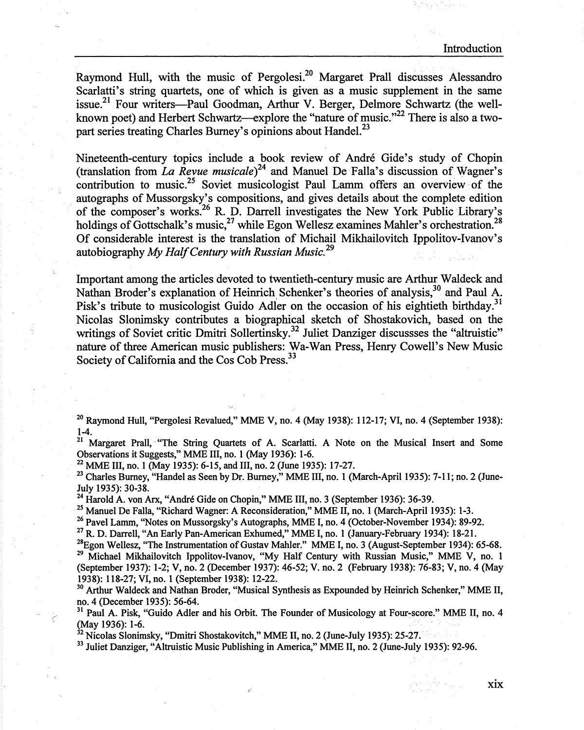Raymond Hull, with the music of Pergolesi.<sup>20</sup> Margaret Prall discusses Alessandro Scarlatti's string quartets, one of which is given as a music supplement in the same issue.<sup>21</sup> Four writers---Paul Goodman, Arthur V. Berger, Delmore Schwartz (the wellknown poet) and Herbert Schwartz—explore the "nature of music."<sup>22</sup> There is also a twopart series treating Charles Burney's opinions about Handel.<sup>23</sup>

Nineteenth-century topics include a book review of Andre Gide's study of Chopin (translation from *La Revue musicale)2*<sup>4</sup>and Manuel De Falla's discussion of Wagner's contribution to music.<sup>25</sup> Soviet musicologist Paul Lamm offers an overview of the autographs of Mussorgsky's compositions, and gives details about the complete edition of the composer's works.26 R. D. Darrell investigates the New York Public Library's holdings of Gottschalk's music,<sup>27</sup> while Egon Wellesz examines Mahler's orchestration.<sup>28</sup> Of considerable interest is the translation of Michail Mikhailovitch Ippolitov-Ivanov's autobiography *My Half Century with Russian Music.* <sup>29</sup>

Important among the articles devoted to twentieth-century music are Arthur Waldeck and Nathan Broder's explanation of Heinrich Schenker's theories of analysis,<sup>30</sup> and Paul A. Pisk's tribute to musicologist Guido Adler on the occasion of his eightieth birthday.<sup>31</sup> Nicolas Slonimsky contributes a biographical sketch of Shostakovich, based on the writings of Soviet critic Dmitri Sollertinsky.<sup>32</sup> Juliet Danziger discussses the "altruistic" nature of three American music publishers: Wa-Wan Press, Henry Cowell's New Music Society of California and the Cos Cob Press.<sup>33</sup>

20 Raymond Hull, "Pergolesi Revalued," **MME V,** no. 4 (May 1938): 112-17; VI, no. 4 (September 1938): 1-4.

<sup>21</sup> Margaret Prall, "The String Quartets of A. Scarlatti. A Note on the Musical Insert and Some Observations it Suggests," MME III, no. 1 (May 1936): 1-6.

22 MME III, no. 1 (May 1935): 6-15, and III, no. 2 (June 1935): 17-27.

 $23$  Charles Burney, "Handel as Seen by Dr. Burney," MME III, no. 1 (March-April 1935): 7-11; no. 2 (June-July 1935): 30-38.<br><sup>24</sup> Harold A. von Arx, "André Gide on Chopin," MME III, no. 3 (September 1936): 36-39.

<sup>25</sup> Manuel De Falla, "Richard Wagner: A Reconsideration," MME II, no. 1 (March-April 1935): 1-3.<br><sup>26</sup> Pavel Lamm, "Notes on Mussorgsky's Autographs, MME I, no. 4 (October-November 1934): 89-92.<br><sup>27</sup> R. D. Darrell, "An Ea

<sup>28</sup> Egon Wellesz, "The Instrumentation of Gustav Mahler." MME I, no. 3 (August-September 1934): 65-68.<br><sup>29</sup> Michael Mikhailovitch Ippolitov-Ivanov, "My Half Century with Russian Music," MME V, no. 1 (September 1937): 1-2; V, no. 2 (December 1937): 46-52; V. no. 2 (February 1938): 76-83; V, no. 4 (May 1938): 118-27; VI, no. 1 (September 1938): 12-22.<br><sup>30</sup> Arthur Waldeck and Nathan Broder, "Musical Synthesis as Expounded by Heinrich Schenker," MME II,

no. 4 (December 1935): 56-64.<br><sup>31</sup> Paul A. Pisk, "Guido Adler and his Orbit. The Founder of Musicology at Four-score." MME II, no. 4 (May 1936): 1-6.

 $\frac{32}{32}$  Nicolas Slonimsky, "Dmitri Shostakovitch," MME II, no. 2 (June-July 1935): 25-27. 33 Juliet Danziger, "Altruistic Music Publishing in America," MME II, no. 2 (June-July 1935): 92-96.